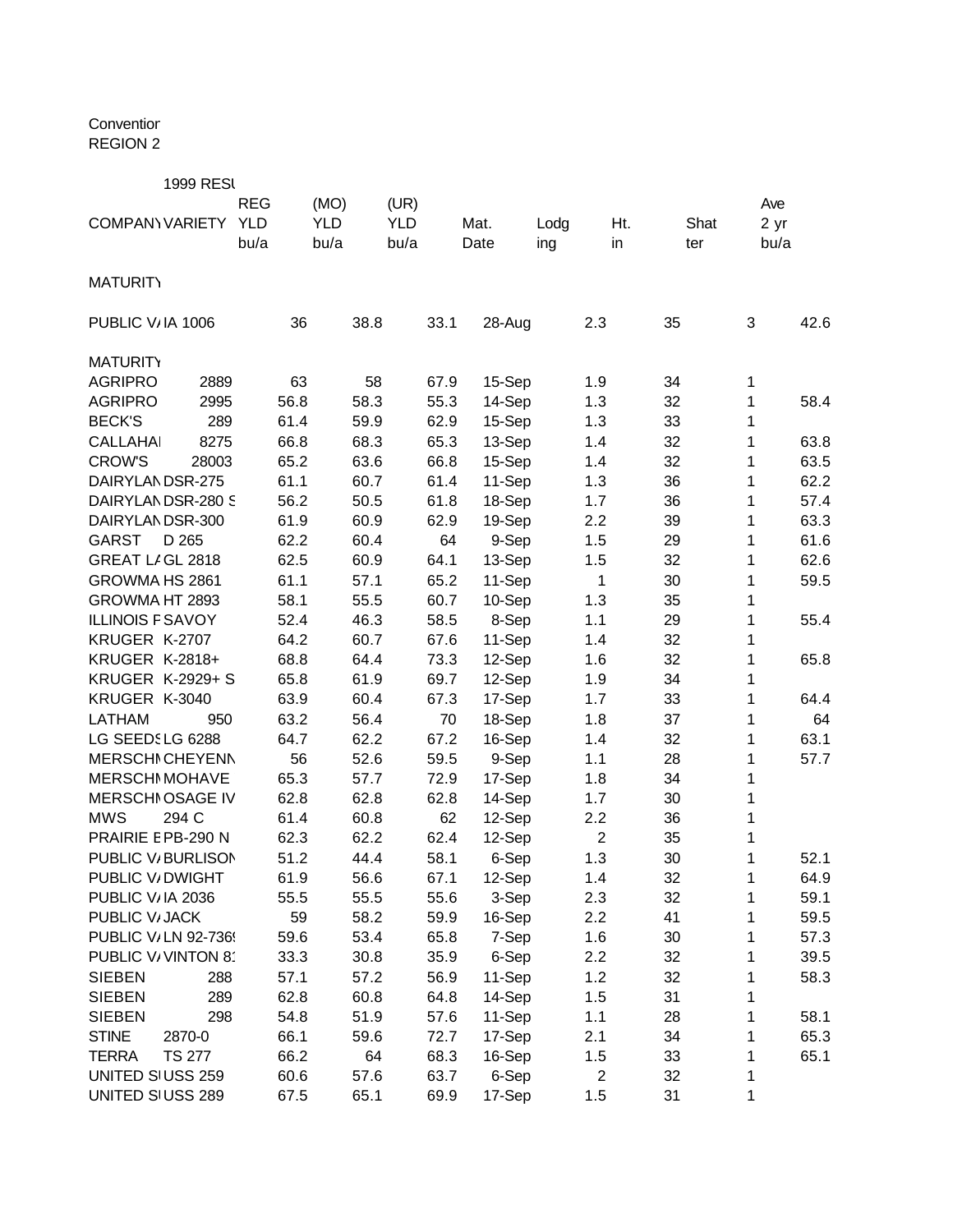Conventior REGION 2

| <b>1999 RESI</b>              |            |            |            |      |        |      |                |      |      |      |
|-------------------------------|------------|------------|------------|------|--------|------|----------------|------|------|------|
|                               | <b>REG</b> | (MO)       | (UR)       |      |        |      |                |      | Ave  |      |
| <b>COMPANY VARIETY</b>        | <b>YLD</b> | <b>YLD</b> | <b>YLD</b> |      | Mat.   | Lodg | Ht.            | Shat | 2 yr |      |
|                               | bu/a       | bu/a       | bu/a       |      | Date   | ing  | in             | ter  | bu/a |      |
|                               |            |            |            |      |        |      |                |      |      |      |
| <b>MATURITY</b>               |            |            |            |      |        |      |                |      |      |      |
| PUBLIC V/IA 1006              | 36         | 38.8       |            | 33.1 | 28-Aug |      | 2.3            | 35   | 3    | 42.6 |
| <b>MATURITY</b>               |            |            |            |      |        |      |                |      |      |      |
| <b>AGRIPRO</b><br>2889        | 63         | 58         |            | 67.9 | 15-Sep |      | 1.9            | 34   | 1    |      |
| <b>AGRIPRO</b><br>2995        | 56.8       | 58.3       |            | 55.3 | 14-Sep |      | 1.3            | 32   | 1    | 58.4 |
| <b>BECK'S</b><br>289          | 61.4       | 59.9       |            | 62.9 | 15-Sep |      | 1.3            | 33   | 1    |      |
| <b>CALLAHAI</b><br>8275       | 66.8       | 68.3       |            | 65.3 | 13-Sep |      | 1.4            | 32   | 1    | 63.8 |
| <b>CROW'S</b><br>28003        | 65.2       | 63.6       |            | 66.8 | 15-Sep |      | 1.4            | 32   | 1    | 63.5 |
| DAIRYLANDSR-275               | 61.1       | 60.7       |            | 61.4 | 11-Sep |      | 1.3            | 36   | 1    | 62.2 |
| DAIRYLANDSR-280 S             | 56.2       | 50.5       |            | 61.8 |        |      | 1.7            | 36   |      | 57.4 |
| DAIRYLANDSR-300               |            | 60.9       |            | 62.9 | 18-Sep |      | 2.2            |      | 1    | 63.3 |
|                               | 61.9       |            |            |      | 19-Sep |      |                | 39   | 1    |      |
| <b>GARST</b><br>D 265         | 62.2       | 60.4       |            | 64   | 9-Sep  |      | 1.5            | 29   | 1    | 61.6 |
| GREAT LIGL 2818               | 62.5       | 60.9       |            | 64.1 | 13-Sep |      | 1.5            | 32   | 1    | 62.6 |
| GROWMA HS 2861                | 61.1       | 57.1       |            | 65.2 | 11-Sep |      | 1              | 30   | 1    | 59.5 |
| GROWMA HT 2893                | 58.1       | 55.5       |            | 60.7 | 10-Sep |      | 1.3            | 35   | 1    |      |
| <b>ILLINOIS F SAVOY</b>       | 52.4       | 46.3       |            | 58.5 | 8-Sep  |      | 1.1            | 29   | 1    | 55.4 |
| KRUGER K-2707                 | 64.2       | 60.7       |            | 67.6 | 11-Sep |      | 1.4            | 32   | 1    |      |
| <b>KRUGER K-2818+</b>         | 68.8       | 64.4       |            | 73.3 | 12-Sep |      | 1.6            | 32   | 1    | 65.8 |
| <b>KRUGER K-2929+ S</b>       | 65.8       | 61.9       |            | 69.7 | 12-Sep |      | 1.9            | 34   | 1    |      |
| KRUGER K-3040                 | 63.9       | 60.4       |            | 67.3 | 17-Sep |      | 1.7            | 33   | 1    | 64.4 |
| <b>LATHAM</b><br>950          | 63.2       | 56.4       |            | 70   | 18-Sep |      | 1.8            | 37   | 1    | 64   |
| LG SEEDSLG 6288               | 64.7       | 62.2       |            | 67.2 | 16-Sep |      | 1.4            | 32   | 1    | 63.1 |
| <b>MERSCHI CHEYENN</b>        | 56         | 52.6       |            | 59.5 | 9-Sep  |      | 1.1            | 28   | 1    | 57.7 |
| <b>MERSCHI MOHAVE</b>         | 65.3       | 57.7       |            | 72.9 | 17-Sep |      | 1.8            | 34   | 1    |      |
| <b>MERSCHI OSAGE IV</b>       | 62.8       | 62.8       |            | 62.8 | 14-Sep |      | 1.7            | 30   | 1    |      |
| <b>MWS</b><br>294 C           | 61.4       | 60.8       |            | 62   | 12-Sep |      | 2.2            | 36   | 1    |      |
| PRAIRIE E PB-290 N            | 62.3       | 62.2       |            | 62.4 | 12-Sep |      | $\overline{2}$ | 35   | 1    |      |
| PUBLIC V/BURLISON             | 51.2       | 44.4       |            | 58.1 | 6-Sep  |      | 1.3            | 30   | 1    | 52.1 |
| PUBLIC V/DWIGHT               | 61.9       | 56.6       |            | 67.1 | 12-Sep |      | 1.4            | 32   | 1    | 64.9 |
| PUBLIC V/IA 2036              | 55.5       | 55.5       |            | 55.6 | 3-Sep  |      | 2.3            | 32   | 1    | 59.1 |
| PUBLIC V/JACK                 | 59         | 58.2       |            | 59.9 | 16-Sep |      | 2.2            | 41   | 1    | 59.5 |
| PUBLIC V/LN 92-736!           | 59.6       | 53.4       |            | 65.8 | 7-Sep  |      | 1.6            | 30   | 1    | 57.3 |
| PUBLIC V/VINTON 8             | 33.3       | 30.8       |            | 35.9 | 6-Sep  |      | 2.2            | 32   | 1    | 39.5 |
| <b>SIEBEN</b><br>288          | 57.1       | 57.2       |            | 56.9 | 11-Sep |      | 1.2            | 32   | 1    | 58.3 |
| 289<br><b>SIEBEN</b>          | 62.8       | 60.8       |            | 64.8 | 14-Sep |      | 1.5            | 31   | 1    |      |
| <b>SIEBEN</b><br>298          | 54.8       | 51.9       |            | 57.6 | 11-Sep |      | 1.1            | 28   | 1    | 58.1 |
| <b>STINE</b><br>2870-0        | 66.1       | 59.6       |            | 72.7 | 17-Sep |      | 2.1            | 34   | 1    | 65.3 |
| <b>TERRA</b><br><b>TS 277</b> | 66.2       | 64         |            | 68.3 | 16-Sep |      | 1.5            | 33   | 1    | 65.1 |
| UNITED SIUSS 259              | 60.6       | 57.6       |            | 63.7 | 6-Sep  |      | $\overline{c}$ | 32   | 1    |      |
| UNITED SIUSS 289              | 67.5       | 65.1       |            | 69.9 | 17-Sep |      | 1.5            | 31   | 1    |      |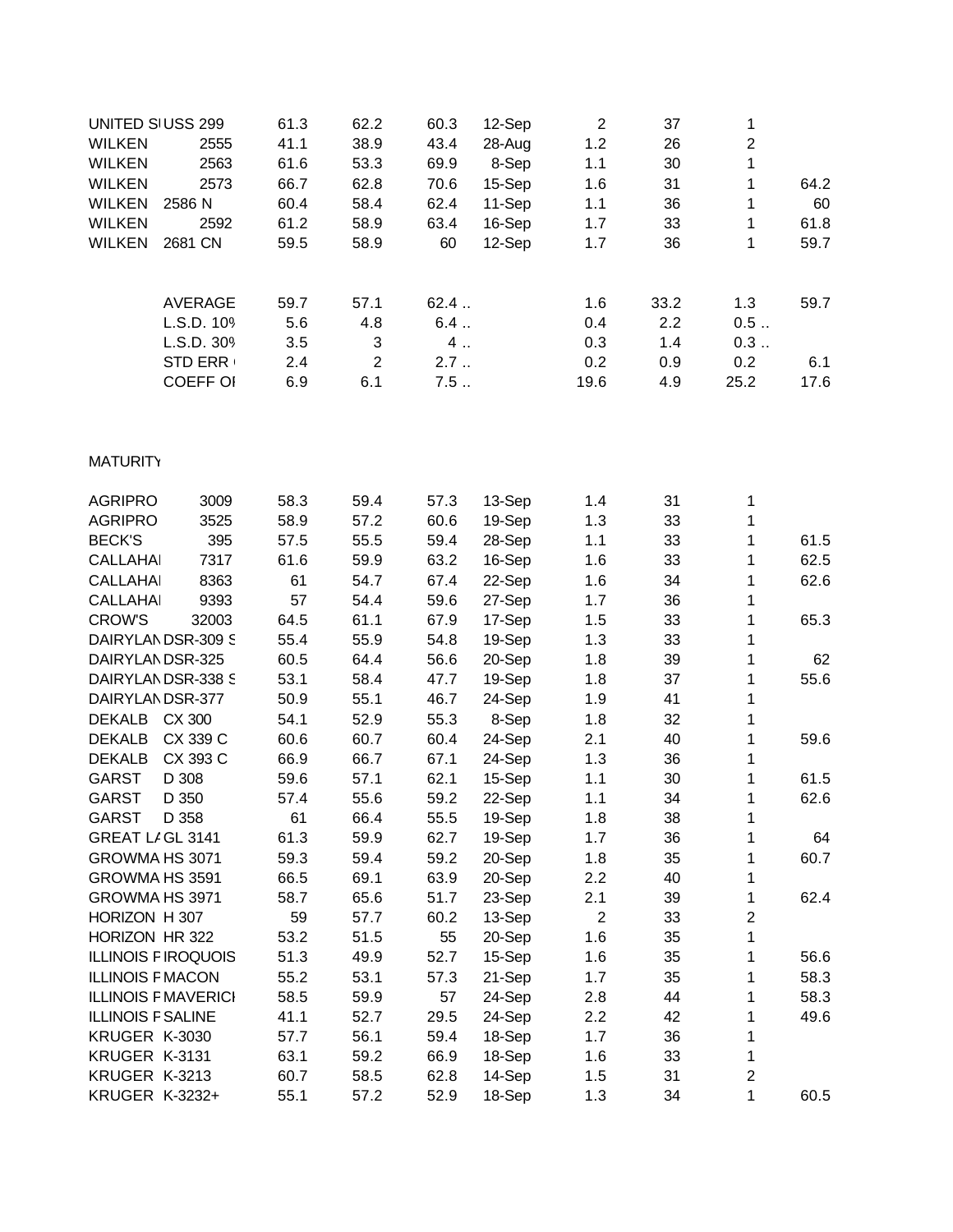|               | UNITED SIUSS 299 | 61.3 | 62.2 | 60.3 | 12-Sep | 2    | 37   | 1    |      |
|---------------|------------------|------|------|------|--------|------|------|------|------|
| <b>WILKEN</b> | 2555             | 41.1 | 38.9 | 43.4 | 28-Aug | 1.2  | 26   | 2    |      |
| <b>WILKEN</b> | 2563             | 61.6 | 53.3 | 69.9 | 8-Sep  | 1.1  | 30   | 1    |      |
| <b>WILKEN</b> | 2573             | 66.7 | 62.8 | 70.6 | 15-Sep | 1.6  | 31   | 1    | 64.2 |
| <b>WILKEN</b> | 2586 N           | 60.4 | 58.4 | 62.4 | 11-Sep | 1.1  | 36   |      | 60   |
| <b>WILKEN</b> | 2592             | 61.2 | 58.9 | 63.4 | 16-Sep | 1.7  | 33   | 1    | 61.8 |
| <b>WILKEN</b> | 2681 CN          | 59.5 | 58.9 | 60   | 12-Sep | 1.7  | 36   | 1    | 59.7 |
|               | <b>AVERAGE</b>   | 59.7 | 57.1 | 62.4 |        | 1.6  | 33.2 | 1.3  | 59.7 |
|               | L.S.D. 109       | 5.6  | 4.8  | 6.4  |        | 0.4  | 2.2  | 0.5  |      |
|               | L.S.D. 30%       | 3.5  | 3    | 4    |        | 0.3  | 1.4  | 0.3  |      |
|               | <b>STD ERR</b>   | 2.4  | 2    | 2.7  |        | 0.2  | 0.9  | 0.2  | 6.1  |
|               | <b>COEFF OI</b>  | 6.9  | 6.1  | 7.5  |        | 19.6 | 4.9  | 25.2 | 17.6 |

## **MATURITY**

| <b>AGRIPRO</b>             | 3009     | 58.3 | 59.4 | 57.3 | 13-Sep | 1.4            | 31 | 1              |      |
|----------------------------|----------|------|------|------|--------|----------------|----|----------------|------|
| <b>AGRIPRO</b>             | 3525     | 58.9 | 57.2 | 60.6 | 19-Sep | 1.3            | 33 | 1              |      |
| <b>BECK'S</b>              | 395      | 57.5 | 55.5 | 59.4 | 28-Sep | 1.1            | 33 | 1              | 61.5 |
| <b>CALLAHAI</b>            | 7317     | 61.6 | 59.9 | 63.2 | 16-Sep | 1.6            | 33 | 1              | 62.5 |
| <b>CALLAHAI</b>            | 8363     | 61   | 54.7 | 67.4 | 22-Sep | 1.6            | 34 | 1              | 62.6 |
| <b>CALLAHAI</b>            | 9393     | 57   | 54.4 | 59.6 | 27-Sep | 1.7            | 36 | 1              |      |
| <b>CROW'S</b>              | 32003    | 64.5 | 61.1 | 67.9 | 17-Sep | 1.5            | 33 | 1              | 65.3 |
| DAIRYLANDSR-309 S          |          | 55.4 | 55.9 | 54.8 | 19-Sep | 1.3            | 33 | 1              |      |
| DAIRYLANDSR-325            |          | 60.5 | 64.4 | 56.6 | 20-Sep | 1.8            | 39 | 1              | 62   |
| DAIRYLANDSR-338 S          |          | 53.1 | 58.4 | 47.7 | 19-Sep | 1.8            | 37 | 1              | 55.6 |
| DAIRYLANDSR-377            |          | 50.9 | 55.1 | 46.7 | 24-Sep | 1.9            | 41 | 1              |      |
| DEKALB CX 300              |          | 54.1 | 52.9 | 55.3 | 8-Sep  | 1.8            | 32 | 1              |      |
| <b>DEKALB</b>              | CX 339 C | 60.6 | 60.7 | 60.4 | 24-Sep | 2.1            | 40 | 1              | 59.6 |
| <b>DEKALB</b>              | CX 393 C | 66.9 | 66.7 | 67.1 | 24-Sep | 1.3            | 36 | 1              |      |
| <b>GARST</b>               | D 308    | 59.6 | 57.1 | 62.1 | 15-Sep | 1.1            | 30 | 1              | 61.5 |
| <b>GARST</b>               | D 350    | 57.4 | 55.6 | 59.2 | 22-Sep | 1.1            | 34 | 1              | 62.6 |
| <b>GARST</b>               | D 358    | 61   | 66.4 | 55.5 | 19-Sep | 1.8            | 38 | 1              |      |
| GREAT LIGL 3141            |          | 61.3 | 59.9 | 62.7 | 19-Sep | 1.7            | 36 | 1              | 64   |
| GROWMA HS 3071             |          | 59.3 | 59.4 | 59.2 | 20-Sep | 1.8            | 35 | 1              | 60.7 |
| GROWMA HS 3591             |          | 66.5 | 69.1 | 63.9 | 20-Sep | 2.2            | 40 | 1              |      |
| GROWMA HS 3971             |          | 58.7 | 65.6 | 51.7 | 23-Sep | 2.1            | 39 | 1              | 62.4 |
| HORIZON H 307              |          | 59   | 57.7 | 60.2 | 13-Sep | $\overline{2}$ | 33 | $\overline{2}$ |      |
| HORIZON HR 322             |          | 53.2 | 51.5 | 55   | 20-Sep | 1.6            | 35 | 1              |      |
| <b>ILLINOIS FIROQUOIS</b>  |          | 51.3 | 49.9 | 52.7 | 15-Sep | 1.6            | 35 | 1              | 56.6 |
| <b>ILLINOIS F MACON</b>    |          | 55.2 | 53.1 | 57.3 | 21-Sep | 1.7            | 35 | 1              | 58.3 |
| <b>ILLINOIS F MAVERICI</b> |          | 58.5 | 59.9 | 57   | 24-Sep | 2.8            | 44 | 1              | 58.3 |
| <b>ILLINOIS F SALINE</b>   |          | 41.1 | 52.7 | 29.5 | 24-Sep | 2.2            | 42 | 1              | 49.6 |
| KRUGER K-3030              |          | 57.7 | 56.1 | 59.4 | 18-Sep | 1.7            | 36 | 1              |      |
| KRUGER K-3131              |          | 63.1 | 59.2 | 66.9 | 18-Sep | 1.6            | 33 | 1              |      |
| KRUGER K-3213              |          | 60.7 | 58.5 | 62.8 | 14-Sep | 1.5            | 31 | $\overline{2}$ |      |
| <b>KRUGER K-3232+</b>      |          | 55.1 | 57.2 | 52.9 | 18-Sep | 1.3            | 34 | 1              | 60.5 |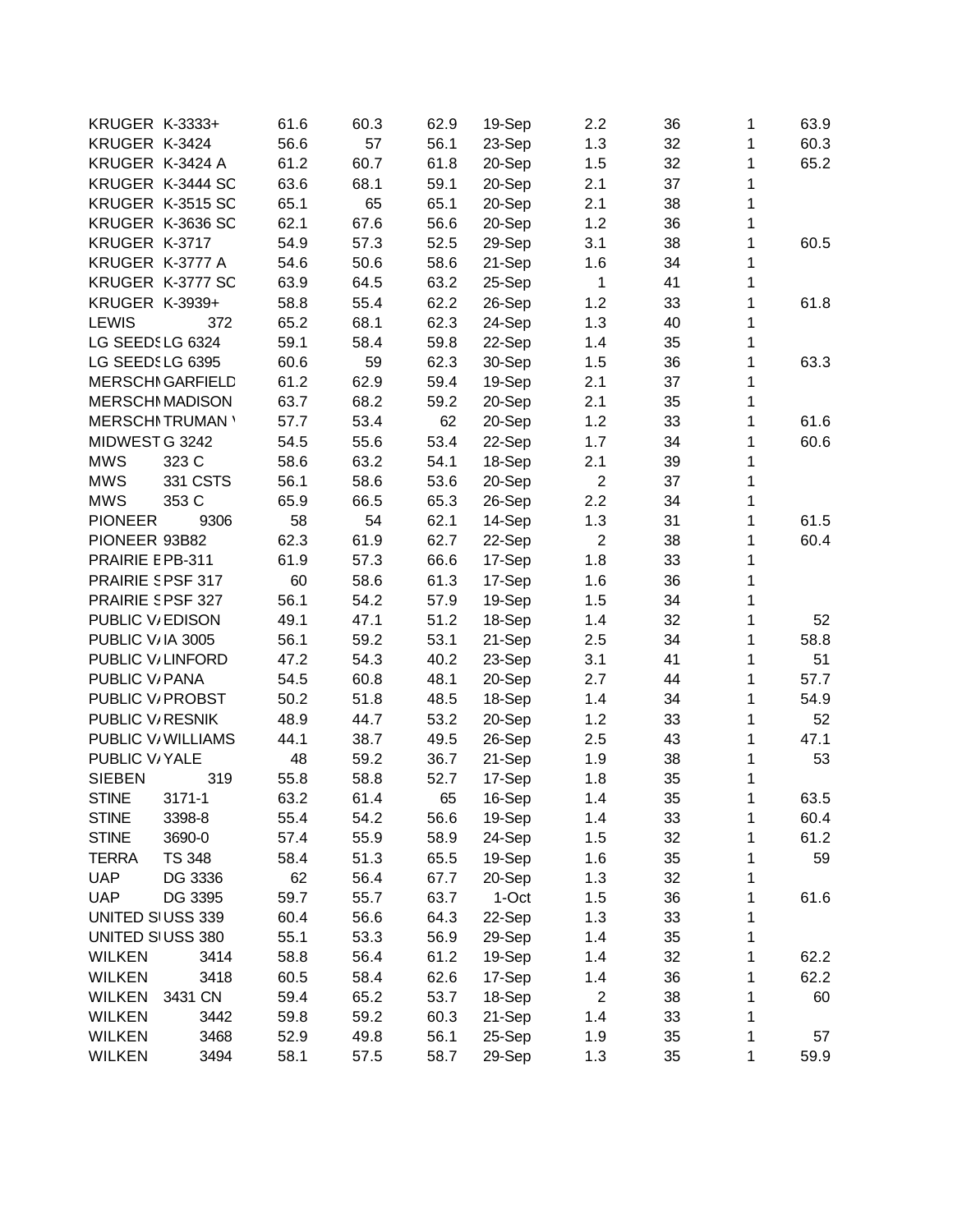| <b>KRUGER K-3333+</b>         | 61.6 | 60.3 | 62.9 | 19-Sep | 2.2            | 36 | 1 | 63.9 |
|-------------------------------|------|------|------|--------|----------------|----|---|------|
| KRUGER K-3424                 | 56.6 | 57   | 56.1 | 23-Sep | 1.3            | 32 | 1 | 60.3 |
| KRUGER K-3424 A               | 61.2 | 60.7 | 61.8 | 20-Sep | 1.5            | 32 | 1 | 65.2 |
| KRUGER K-3444 SC              | 63.6 | 68.1 | 59.1 | 20-Sep | 2.1            | 37 | 1 |      |
| KRUGER K-3515 SC              | 65.1 | 65   | 65.1 | 20-Sep | 2.1            | 38 | 1 |      |
| KRUGER K-3636 SC              | 62.1 | 67.6 | 56.6 | 20-Sep | 1.2            | 36 | 1 |      |
| KRUGER K-3717                 | 54.9 | 57.3 | 52.5 | 29-Sep | 3.1            | 38 | 1 | 60.5 |
| KRUGER K-3777 A               | 54.6 | 50.6 | 58.6 | 21-Sep | 1.6            | 34 | 1 |      |
| KRUGER K-3777 SC              | 63.9 | 64.5 | 63.2 | 25-Sep | $\mathbf{1}$   | 41 | 1 |      |
| <b>KRUGER K-3939+</b>         | 58.8 | 55.4 | 62.2 | 26-Sep | 1.2            | 33 | 1 | 61.8 |
| <b>LEWIS</b><br>372           | 65.2 | 68.1 | 62.3 | 24-Sep | 1.3            | 40 | 1 |      |
| LG SEEDSLG 6324               | 59.1 | 58.4 | 59.8 | 22-Sep | 1.4            | 35 | 1 |      |
| LG SEEDSLG 6395               | 60.6 | 59   | 62.3 | 30-Sep | 1.5            | 36 | 1 | 63.3 |
| <b>MERSCHI GARFIELD</b>       | 61.2 | 62.9 | 59.4 | 19-Sep | 2.1            | 37 | 1 |      |
| <b>MERSCHI MADISON</b>        | 63.7 | 68.2 | 59.2 | 20-Sep | 2.1            | 35 | 1 |      |
| <b>MERSCHI TRUMAN '</b>       | 57.7 | 53.4 | 62   | 20-Sep | 1.2            | 33 | 1 | 61.6 |
| MIDWEST G 3242                | 54.5 | 55.6 | 53.4 | 22-Sep | 1.7            | 34 | 1 | 60.6 |
| <b>MWS</b><br>323 C           | 58.6 | 63.2 | 54.1 | 18-Sep | 2.1            | 39 | 1 |      |
| <b>MWS</b><br>331 CSTS        | 56.1 | 58.6 | 53.6 | 20-Sep | $\overline{2}$ | 37 | 1 |      |
| <b>MWS</b><br>353 C           | 65.9 | 66.5 | 65.3 | 26-Sep | 2.2            | 34 | 1 |      |
| <b>PIONEER</b><br>9306        | 58   | 54   | 62.1 | 14-Sep | 1.3            | 31 | 1 | 61.5 |
| PIONEER 93B82                 | 62.3 | 61.9 | 62.7 | 22-Sep | $\sqrt{2}$     | 38 | 1 | 60.4 |
| PRAIRIE EPB-311               | 61.9 | 57.3 | 66.6 | 17-Sep | 1.8            | 33 | 1 |      |
| PRAIRIE SPSF 317              | 60   | 58.6 | 61.3 | 17-Sep | 1.6            | 36 | 1 |      |
| PRAIRIE SPSF 327              | 56.1 | 54.2 | 57.9 | 19-Sep | 1.5            | 34 | 1 |      |
| PUBLIC V/EDISON               | 49.1 | 47.1 | 51.2 | 18-Sep | 1.4            | 32 | 1 | 52   |
| PUBLIC V/IA 3005              | 56.1 | 59.2 | 53.1 | 21-Sep | 2.5            | 34 | 1 | 58.8 |
| PUBLIC V/LINFORD              | 47.2 | 54.3 | 40.2 | 23-Sep | 3.1            | 41 | 1 | 51   |
| PUBLIC V/ PANA                | 54.5 | 60.8 | 48.1 | 20-Sep | 2.7            | 44 | 1 | 57.7 |
| PUBLIC V/ PROBST              | 50.2 | 51.8 | 48.5 | 18-Sep | 1.4            | 34 | 1 | 54.9 |
| PUBLIC V <sub>/RESNIK</sub>   | 48.9 | 44.7 | 53.2 | 20-Sep | 1.2            | 33 | 1 | 52   |
| PUBLIC V/ WILLIAMS            | 44.1 | 38.7 | 49.5 | 26-Sep | 2.5            | 43 | 1 | 47.1 |
| PUBLIC V/YALE                 | 48   | 59.2 | 36.7 | 21-Sep | 1.9            | 38 | 1 | 53   |
| <b>SIEBEN</b><br>319          | 55.8 | 58.8 | 52.7 | 17-Sep | 1.8            | 35 | 1 |      |
| <b>STINE</b><br>3171-1        | 63.2 | 61.4 | 65   | 16-Sep | 1.4            | 35 | 1 | 63.5 |
| <b>STINE</b><br>3398-8        | 55.4 | 54.2 | 56.6 | 19-Sep | 1.4            | 33 | 1 | 60.4 |
| <b>STINE</b><br>3690-0        | 57.4 | 55.9 | 58.9 | 24-Sep | 1.5            | 32 | 1 | 61.2 |
| <b>TERRA</b><br><b>TS 348</b> | 58.4 | 51.3 | 65.5 | 19-Sep | 1.6            | 35 | 1 | 59   |
| <b>UAP</b><br>DG 3336         | 62   | 56.4 | 67.7 | 20-Sep | 1.3            | 32 | 1 |      |
| <b>UAP</b><br>DG 3395         | 59.7 | 55.7 | 63.7 | 1-Oct  | 1.5            | 36 | 1 | 61.6 |
| UNITED SIUSS 339              | 60.4 | 56.6 | 64.3 | 22-Sep | 1.3            | 33 | 1 |      |
| UNITED SIUSS 380              | 55.1 | 53.3 | 56.9 | 29-Sep | 1.4            | 35 | 1 |      |
| <b>WILKEN</b><br>3414         | 58.8 | 56.4 | 61.2 | 19-Sep | 1.4            | 32 | 1 | 62.2 |
| <b>WILKEN</b><br>3418         | 60.5 | 58.4 | 62.6 | 17-Sep | 1.4            | 36 | 1 | 62.2 |
| <b>WILKEN</b><br>3431 CN      | 59.4 | 65.2 | 53.7 | 18-Sep | $\overline{2}$ | 38 | 1 | 60   |
| <b>WILKEN</b><br>3442         | 59.8 | 59.2 | 60.3 | 21-Sep | 1.4            | 33 | 1 |      |
| <b>WILKEN</b><br>3468         | 52.9 | 49.8 | 56.1 | 25-Sep | 1.9            | 35 | 1 | 57   |
| <b>WILKEN</b><br>3494         | 58.1 | 57.5 | 58.7 | 29-Sep | 1.3            | 35 | 1 | 59.9 |
|                               |      |      |      |        |                |    |   |      |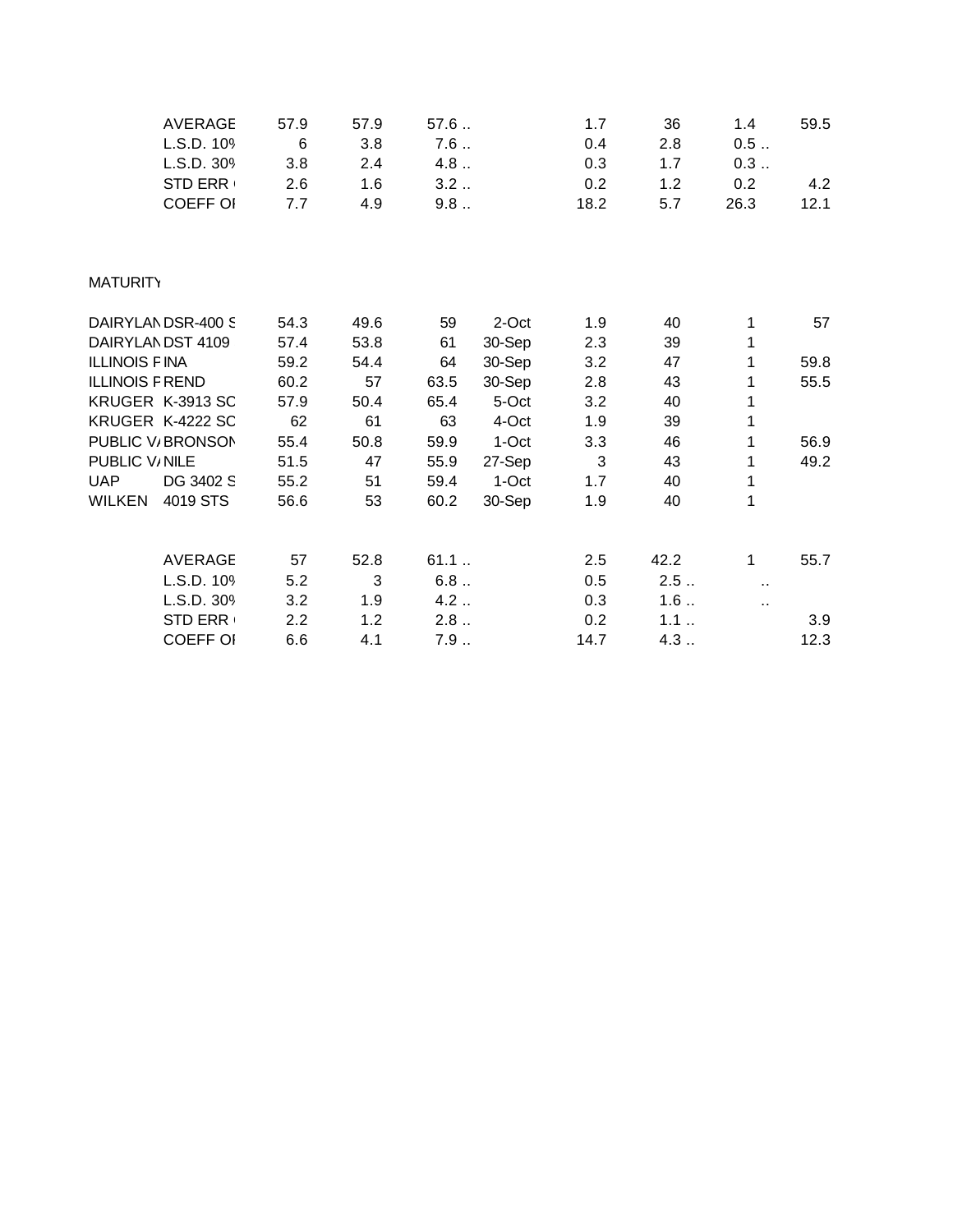|                        | <b>AVERAGE</b>    | 57.9 | 57.9 | 57.6 |        | 1.7          | 36   | 1.4                  | 59.5 |
|------------------------|-------------------|------|------|------|--------|--------------|------|----------------------|------|
|                        | L.S.D. 109        | 6    | 3.8  | 7.6  |        | 0.4          | 2.8  | 0.5                  |      |
|                        | L.S.D. 309        | 3.8  | 2.4  | 4.8  |        | 0.3          | 1.7  | 0.3                  |      |
|                        | <b>STD ERR</b>    | 2.6  | 1.6  | 3.2  |        | 0.2          | 1.2  | 0.2                  | 4.2  |
|                        | <b>COEFF OI</b>   | 7.7  | 4.9  | 9.8  |        | 18.2         | 5.7  | 26.3                 | 12.1 |
|                        |                   |      |      |      |        |              |      |                      |      |
| <b>MATURITY</b>        |                   |      |      |      |        |              |      |                      |      |
|                        | DAIRYLANDSR-400 S | 54.3 | 49.6 | 59   | 2-Oct  | 1.9          | 40   | 1                    | 57   |
|                        | DAIRYLANDST 4109  | 57.4 | 53.8 | 61   | 30-Sep | 2.3          | 39   | 1                    |      |
| <b>ILLINOIS FINA</b>   |                   | 59.2 | 54.4 | 64   | 30-Sep | 3.2          | 47   | 1                    | 59.8 |
| <b>ILLINOIS F REND</b> |                   | 60.2 | 57   | 63.5 | 30-Sep | 2.8          | 43   | 1                    | 55.5 |
|                        | KRUGER K-3913 SC  | 57.9 | 50.4 | 65.4 | 5-Oct  | 3.2          | 40   | 1                    |      |
|                        | KRUGER K-4222 SC  | 62   | 61   | 63   | 4-Oct  | 1.9          | 39   | 1                    |      |
|                        | PUBLIC V/BRONSON  | 55.4 | 50.8 | 59.9 | 1-Oct  | 3.3          | 46   | 1                    | 56.9 |
| PUBLIC V/NILE          |                   | 51.5 | 47   | 55.9 | 27-Sep | $\mathbf{3}$ | 43   | 1                    | 49.2 |
| <b>UAP</b>             | DG 3402 S         | 55.2 | 51   | 59.4 | 1-Oct  | 1.7          | 40   | 1                    |      |
| WILKEN                 | 4019 STS          | 56.6 | 53   | 60.2 | 30-Sep | 1.9          | 40   | 1                    |      |
|                        | <b>AVERAGE</b>    | 57   | 52.8 | 61.1 |        | 2.5          | 42.2 | 1                    | 55.7 |
|                        | L.S.D. 109        | 5.2  | 3    | 6.8  |        | 0.5          | 2.5  | $\ddot{\phantom{1}}$ |      |
|                        | L.S.D. 309        | 3.2  | 1.9  | 4.2  |        | 0.3          | 1.6  | Ω,                   |      |
|                        | <b>STD ERR</b>    | 2.2  | 1.2  | 2.8  |        | 0.2          | 1.1  |                      | 3.9  |
|                        | <b>COEFF OI</b>   | 6.6  | 4.1  | 7.9  |        | 14.7         | 4.3  |                      | 12.3 |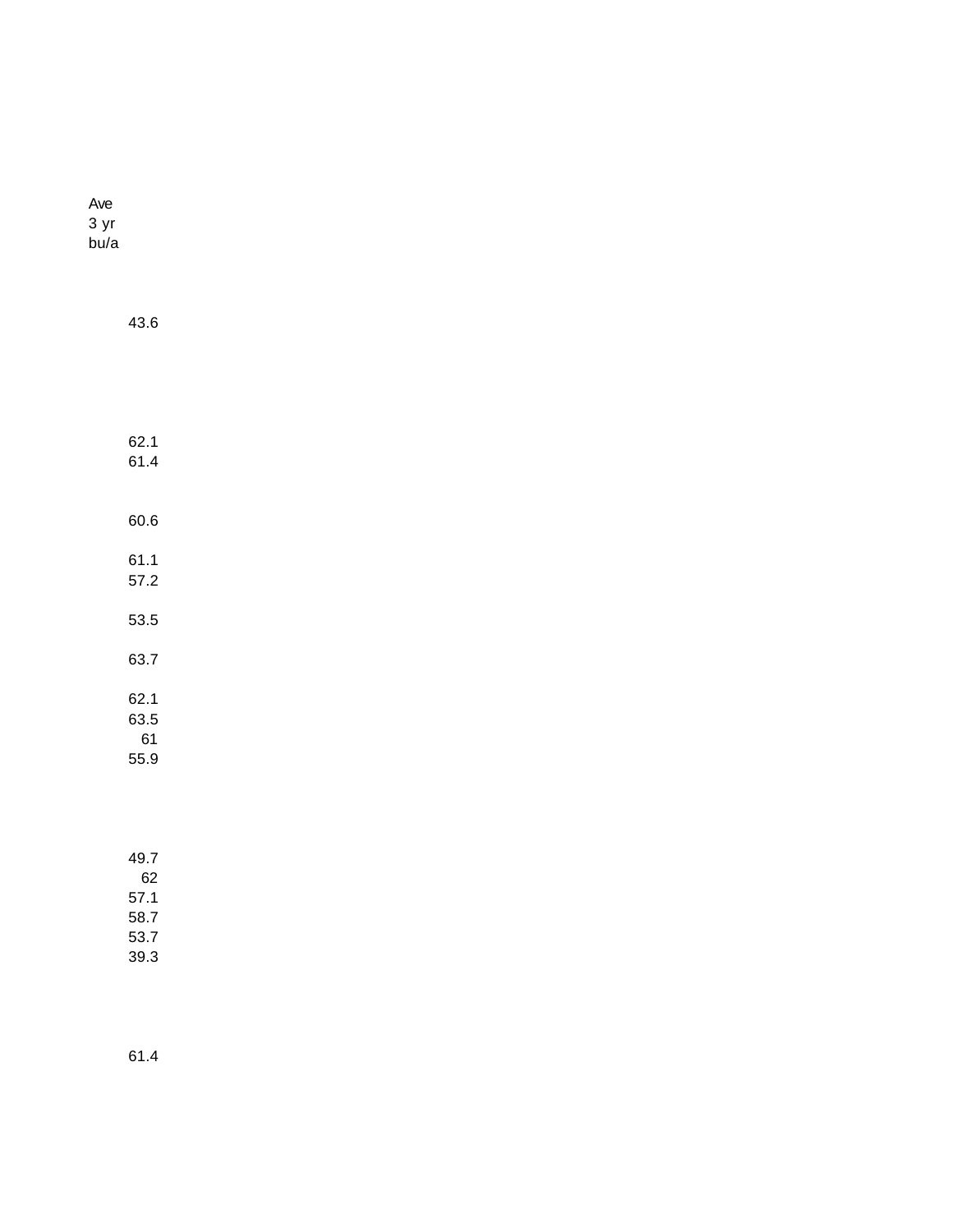| Ave  |
|------|
| 3 yr |
| bu/a |

| 43.6 |  |  |  |
|------|--|--|--|
|      |  |  |  |
|      |  |  |  |
| 62.1 |  |  |  |
| 61.4 |  |  |  |
| 60.6 |  |  |  |
| 61.1 |  |  |  |
| 57.2 |  |  |  |
| 53.5 |  |  |  |
| 63.7 |  |  |  |
| 62.1 |  |  |  |
| 63.5 |  |  |  |
| 61   |  |  |  |
| 55.9 |  |  |  |
|      |  |  |  |

| 49.7 |  |
|------|--|
| 62   |  |
| 57.1 |  |
| 58.7 |  |
| 53.7 |  |
| 39.3 |  |

61.4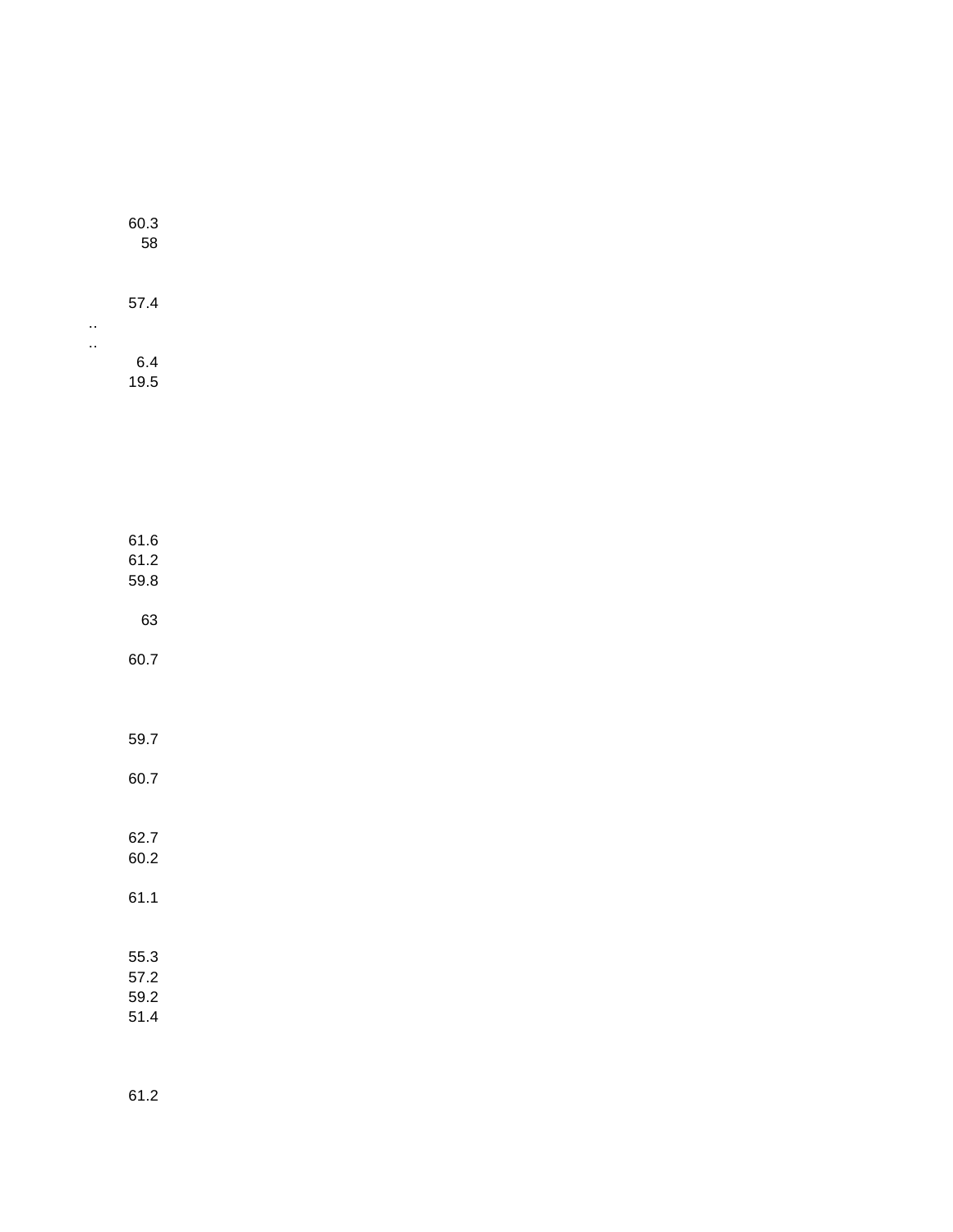| 60.3<br>58 |  |
|------------|--|
| 57.4       |  |
| 6.4        |  |

19.5

| 61.6<br>61.2<br>59.8 |  |
|----------------------|--|
| 63                   |  |
| 60.7                 |  |
|                      |  |
| 59.7                 |  |
| 60.7                 |  |

| Բ2 7<br>60 2 |  |
|--------------|--|
| 61.1         |  |
| 55.3         |  |
| 57.2         |  |
| 59.2         |  |
| 51 4         |  |

61.2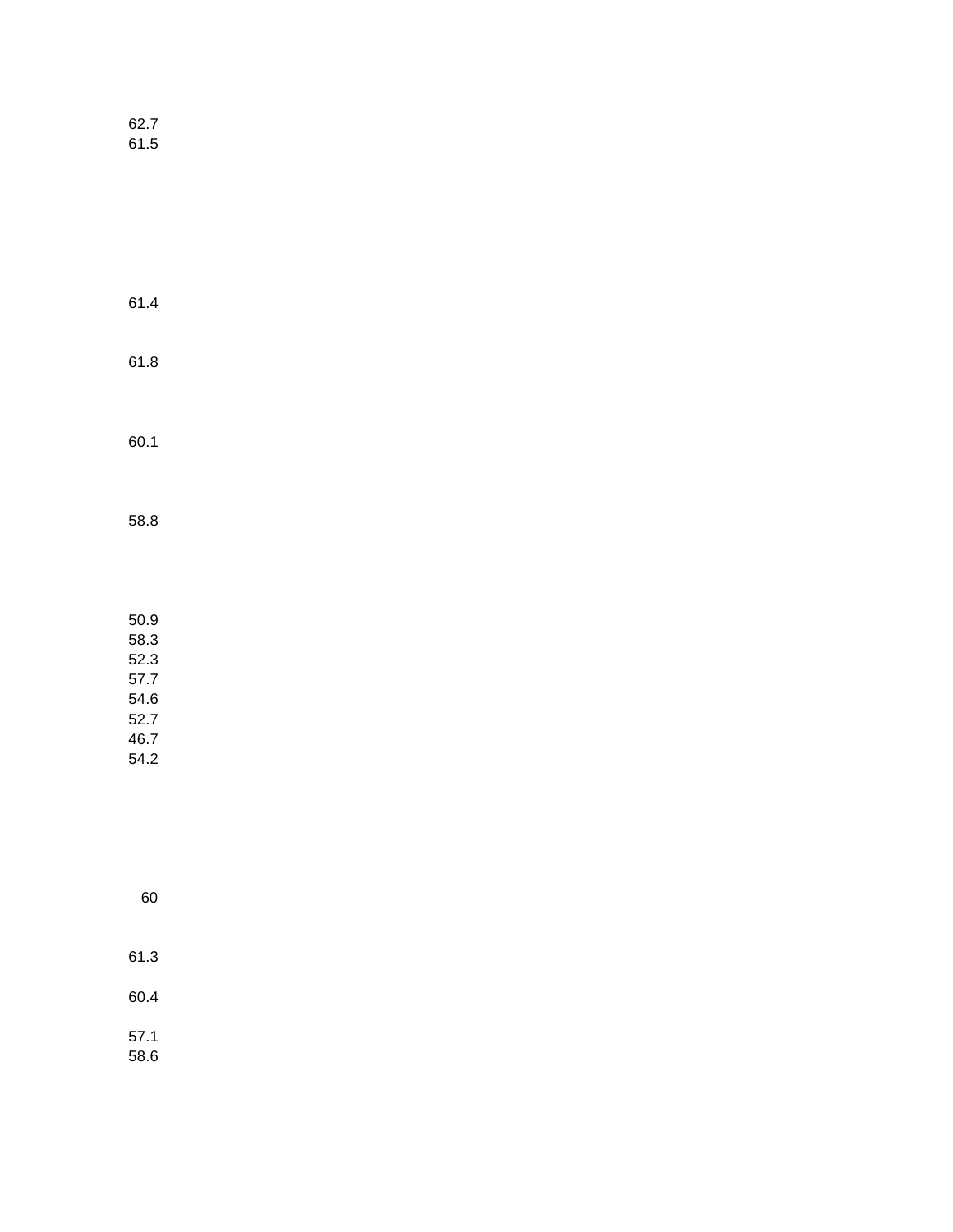62.7 61.5

61.4 61.8 60.1 58.8

50.9 58.3 52.3 57.7 54.6 52.7 46.7 54.2

| 60           |  |
|--------------|--|
| 61.3         |  |
| 60.4         |  |
| 57.1<br>58.6 |  |